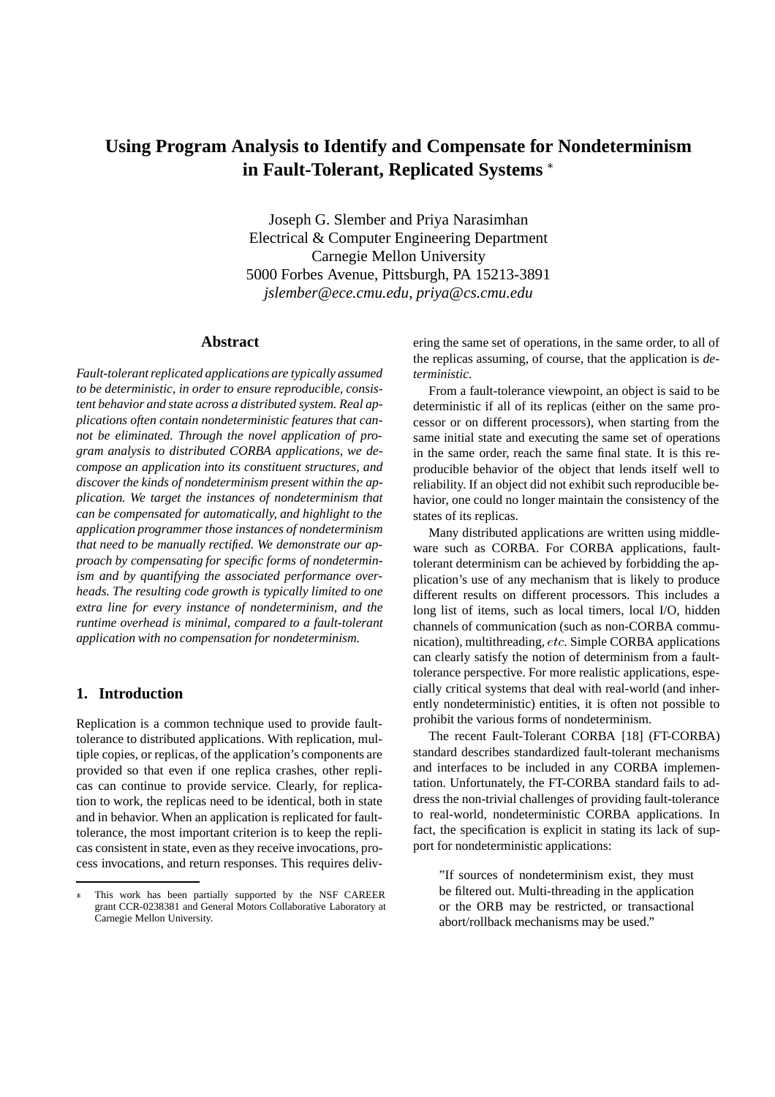# **Using Program Analysis to Identify and Compensate for Nondeterminism in Fault-Tolerant, Replicated Systems**

Joseph G. Slember and Priya Narasimhan Electrical & Computer Engineering Department Carnegie Mellon University 5000 Forbes Avenue, Pittsburgh, PA 15213-3891 *jslember@ece.cmu.edu*, *priya@cs.cmu.edu*

#### **Abstract**

*Fault-tolerant replicated applications are typically assumed to be deterministic, in order to ensure reproducible, consistent behavior and state across a distributed system. Real applications often contain nondeterministic features that cannot be eliminated. Through the novel application of program analysis to distributed CORBA applications, we decompose an application into its constituent structures, and discover the kinds of nondeterminism present within the application. We target the instances of nondeterminism that can be compensated for automatically, and highlight to the application programmer those instances of nondeterminism that need to be manually rectified. We demonstrate our approach by compensating for specific forms of nondeterminism and by quantifying the associated performance overheads. The resulting code growth is typically limited to one extra line for every instance of nondeterminism, and the runtime overhead is minimal, compared to a fault-tolerant application with no compensation for nondeterminism.*

### **1. Introduction**

Replication is a common technique used to provide faulttolerance to distributed applications. With replication, multiple copies, or replicas, of the application's components are provided so that even if one replica crashes, other replicas can continue to provide service. Clearly, for replication to work, the replicas need to be identical, both in state and in behavior. When an application is replicated for faulttolerance, the most important criterion is to keep the replicas consistent in state, even as they receive invocations, process invocations, and return responses. This requires delivering the same set of operations, in the same order, to all of the replicas assuming, of course, that the application is *deterministic*.

From a fault-tolerance viewpoint, an object is said to be deterministic if all of its replicas (either on the same processor or on different processors), when starting from the same initial state and executing the same set of operations in the same order, reach the same final state. It is this reproducible behavior of the object that lends itself well to reliability. If an object did not exhibit such reproducible behavior, one could no longer maintain the consistency of the states of its replicas.

Many distributed applications are written using middleware such as CORBA. For CORBA applications, faulttolerant determinism can be achieved by forbidding the application's use of any mechanism that is likely to produce different results on different processors. This includes a long list of items, such as local timers, local I/O, hidden channels of communication (such as non-CORBA communication), multithreading, etc. Simple CORBA applications can clearly satisfy the notion of determinism from a faulttolerance perspective. For more realistic applications, especially critical systems that deal with real-world (and inherently nondeterministic) entities, it is often not possible to prohibit the various forms of nondeterminism.

The recent Fault-Tolerant CORBA [18] (FT-CORBA) standard describes standardized fault-tolerant mechanisms and interfaces to be included in any CORBA implementation. Unfortunately, the FT-CORBA standard fails to address the non-trivial challenges of providing fault-tolerance to real-world, nondeterministic CORBA applications. In fact, the specification is explicit in stating its lack of support for nondeterministic applications:

"If sources of nondeterminism exist, they must be filtered out. Multi-threading in the application or the ORB may be restricted, or transactional abort/rollback mechanisms may be used."

This work has been partially supported by the NSF CAREER grant CCR-0238381 and General Motors Collaborative Laboratory at Carnegie Mellon University.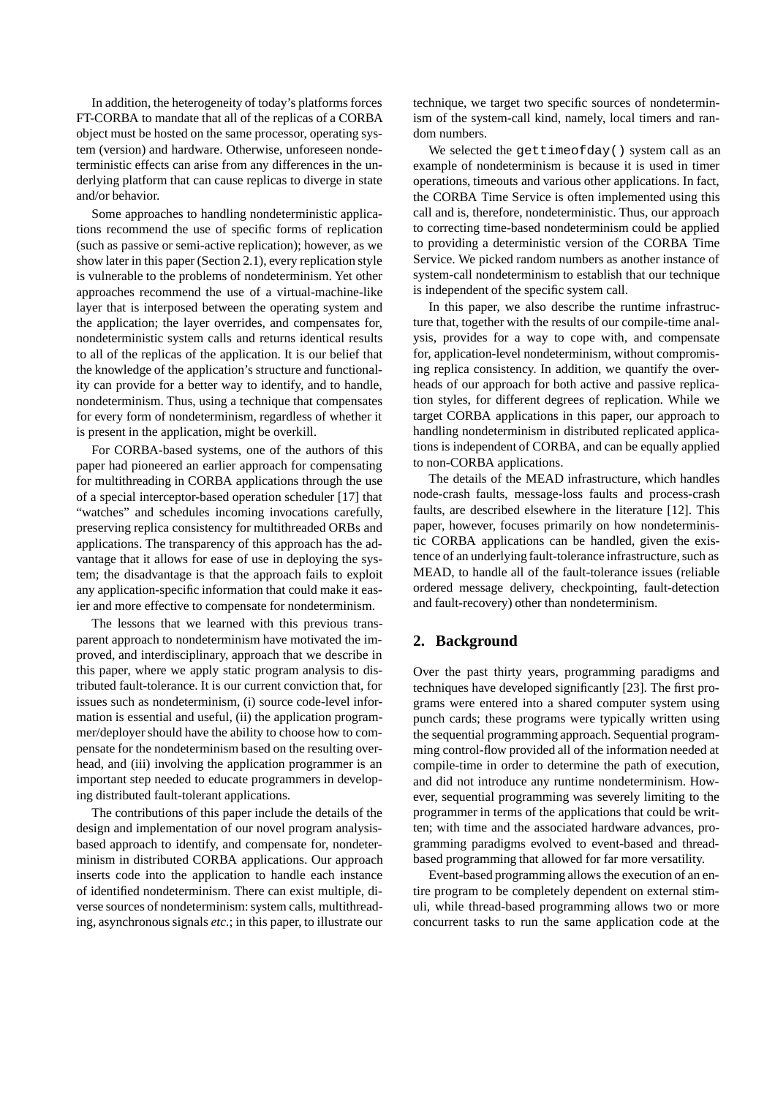In addition, the heterogeneity of today's platforms forces FT-CORBA to mandate that all of the replicas of a CORBA object must be hosted on the same processor, operating system (version) and hardware. Otherwise, unforeseen nondeterministic effects can arise from any differences in the underlying platform that can cause replicas to diverge in state and/or behavior.

Some approaches to handling nondeterministic applications recommend the use of specific forms of replication (such as passive or semi-active replication); however, as we show later in this paper (Section 2.1), every replication style is vulnerable to the problems of nondeterminism. Yet other approaches recommend the use of a virtual-machine-like layer that is interposed between the operating system and the application; the layer overrides, and compensates for, nondeterministic system calls and returns identical results to all of the replicas of the application. It is our belief that the knowledge of the application's structure and functionality can provide for a better way to identify, and to handle, nondeterminism. Thus, using a technique that compensates for every form of nondeterminism, regardless of whether it is present in the application, might be overkill.

For CORBA-based systems, one of the authors of this paper had pioneered an earlier approach for compensating for multithreading in CORBA applications through the use of a special interceptor-based operation scheduler [17] that "watches" and schedules incoming invocations carefully, preserving replica consistency for multithreaded ORBs and applications. The transparency of this approach has the advantage that it allows for ease of use in deploying the system; the disadvantage is that the approach fails to exploit any application-specific information that could make it easier and more effective to compensate for nondeterminism.

The lessons that we learned with this previous transparent approach to nondeterminism have motivated the improved, and interdisciplinary, approach that we describe in this paper, where we apply static program analysis to distributed fault-tolerance. It is our current conviction that, for issues such as nondeterminism, (i) source code-level information is essential and useful, (ii) the application programmer/deployer should have the ability to choose how to compensate for the nondeterminism based on the resulting overhead, and (iii) involving the application programmer is an important step needed to educate programmers in developing distributed fault-tolerant applications.

The contributions of this paper include the details of the design and implementation of our novel program analysisbased approach to identify, and compensate for, nondeterminism in distributed CORBA applications. Our approach inserts code into the application to handle each instance of identified nondeterminism. There can exist multiple, diverse sources of nondeterminism: system calls, multithreading, asynchronous signals *etc.*; in this paper, to illustrate our technique, we target two specific sources of nondeterminism of the system-call kind, namely, local timers and random numbers.

We selected the gettimeofday() system call as an example of nondeterminism is because it is used in timer operations, timeouts and various other applications. In fact, the CORBA Time Service is often implemented using this call and is, therefore, nondeterministic. Thus, our approach to correcting time-based nondeterminism could be applied to providing a deterministic version of the CORBA Time Service. We picked random numbers as another instance of system-call nondeterminism to establish that our technique is independent of the specific system call.

In this paper, we also describe the runtime infrastructure that, together with the results of our compile-time analysis, provides for a way to cope with, and compensate for, application-level nondeterminism, without compromising replica consistency. In addition, we quantify the overheads of our approach for both active and passive replication styles, for different degrees of replication. While we target CORBA applications in this paper, our approach to handling nondeterminism in distributed replicated applications is independent of CORBA, and can be equally applied to non-CORBA applications.

The details of the MEAD infrastructure, which handles node-crash faults, message-loss faults and process-crash faults, are described elsewhere in the literature [12]. This paper, however, focuses primarily on how nondeterministic CORBA applications can be handled, given the existence of an underlying fault-tolerance infrastructure, such as MEAD, to handle all of the fault-tolerance issues (reliable ordered message delivery, checkpointing, fault-detection and fault-recovery) other than nondeterminism.

# **2. Background**

Over the past thirty years, programming paradigms and techniques have developed significantly [23]. The first programs were entered into a shared computer system using punch cards; these programs were typically written using the sequential programming approach. Sequential programming control-flow provided all of the information needed at compile-time in order to determine the path of execution, and did not introduce any runtime nondeterminism. However, sequential programming was severely limiting to the programmer in terms of the applications that could be written; with time and the associated hardware advances, programming paradigms evolved to event-based and threadbased programming that allowed for far more versatility.

Event-based programming allows the execution of an entire program to be completely dependent on external stimuli, while thread-based programming allows two or more concurrent tasks to run the same application code at the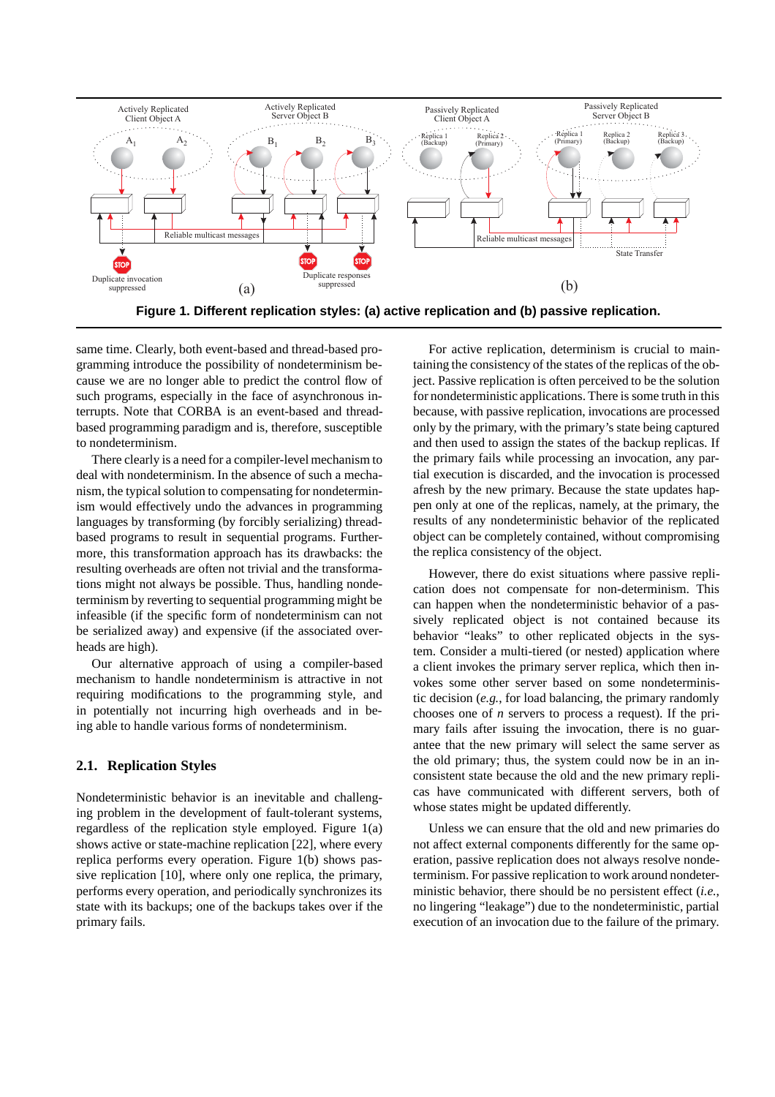

same time. Clearly, both event-based and thread-based programming introduce the possibility of nondeterminism because we are no longer able to predict the control flow of such programs, especially in the face of asynchronous interrupts. Note that CORBA is an event-based and threadbased programming paradigm and is, therefore, susceptible to nondeterminism.

There clearly is a need for a compiler-level mechanism to deal with nondeterminism. In the absence of such a mechanism, the typical solution to compensating for nondeterminism would effectively undo the advances in programming languages by transforming (by forcibly serializing) threadbased programs to result in sequential programs. Furthermore, this transformation approach has its drawbacks: the resulting overheads are often not trivial and the transformations might not always be possible. Thus, handling nondeterminism by reverting to sequential programming might be infeasible (if the specific form of nondeterminism can not be serialized away) and expensive (if the associated overheads are high).

Our alternative approach of using a compiler-based mechanism to handle nondeterminism is attractive in not requiring modifications to the programming style, and in potentially not incurring high overheads and in being able to handle various forms of nondeterminism.

### **2.1. Replication Styles**

Nondeterministic behavior is an inevitable and challenging problem in the development of fault-tolerant systems, regardless of the replication style employed. Figure 1(a) shows active or state-machine replication [22], where every replica performs every operation. Figure 1(b) shows passive replication [10], where only one replica, the primary, performs every operation, and periodically synchronizes its state with its backups; one of the backups takes over if the primary fails.

For active replication, determinism is crucial to maintaining the consistency of the states of the replicas of the object. Passive replication is often perceived to be the solution for nondeterministic applications. There is some truth in this because, with passive replication, invocations are processed only by the primary, with the primary's state being captured and then used to assign the states of the backup replicas. If the primary fails while processing an invocation, any partial execution is discarded, and the invocation is processed afresh by the new primary. Because the state updates happen only at one of the replicas, namely, at the primary, the results of any nondeterministic behavior of the replicated object can be completely contained, without compromising the replica consistency of the object.

However, there do exist situations where passive replication does not compensate for non-determinism. This can happen when the nondeterministic behavior of a passively replicated object is not contained because its behavior "leaks" to other replicated objects in the system. Consider a multi-tiered (or nested) application where a client invokes the primary server replica, which then invokes some other server based on some nondeterministic decision (*e.g.*, for load balancing, the primary randomly chooses one of *n* servers to process a request). If the primary fails after issuing the invocation, there is no guarantee that the new primary will select the same server as the old primary; thus, the system could now be in an inconsistent state because the old and the new primary replicas have communicated with different servers, both of whose states might be updated differently.

Unless we can ensure that the old and new primaries do not affect external components differently for the same operation, passive replication does not always resolve nondeterminism. For passive replication to work around nondeterministic behavior, there should be no persistent effect (*i.e.*, no lingering "leakage") due to the nondeterministic, partial execution of an invocation due to the failure of the primary.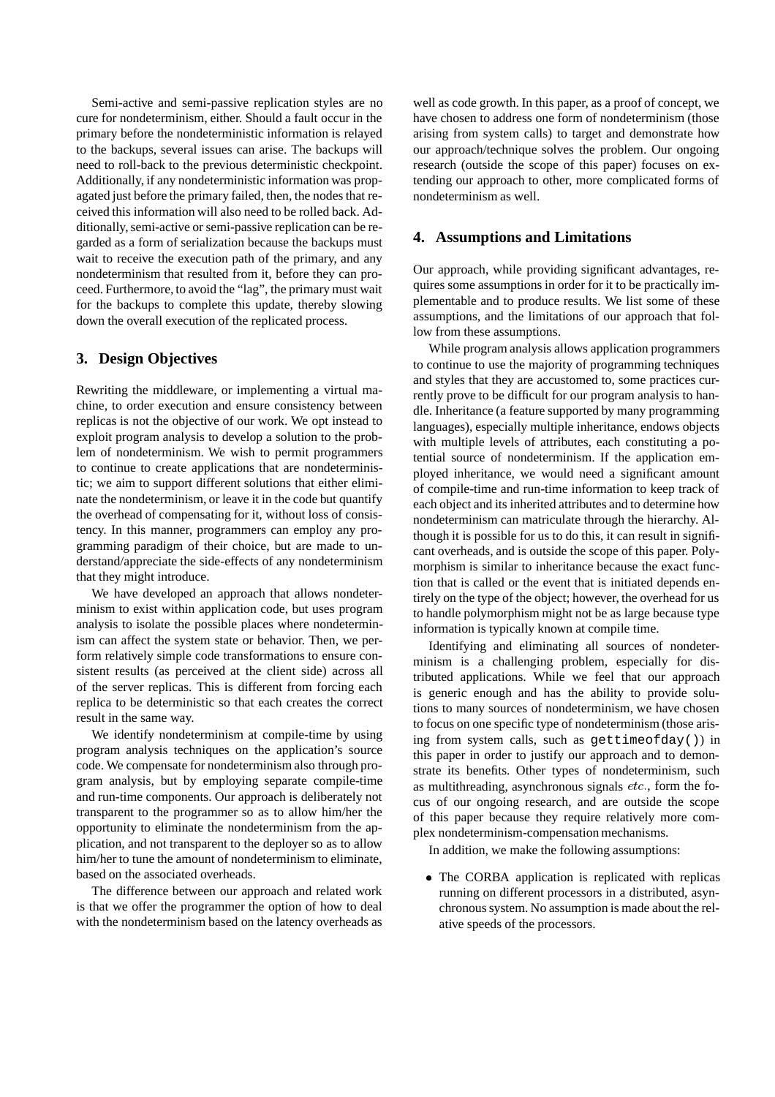Semi-active and semi-passive replication styles are no cure for nondeterminism, either. Should a fault occur in the primary before the nondeterministic information is relayed to the backups, several issues can arise. The backups will need to roll-back to the previous deterministic checkpoint. Additionally, if any nondeterministic information was propagated just before the primary failed, then, the nodes that received this information will also need to be rolled back. Additionally, semi-active or semi-passive replication can be regarded as a form of serialization because the backups must wait to receive the execution path of the primary, and any nondeterminism that resulted from it, before they can proceed. Furthermore, to avoid the "lag", the primary must wait for the backups to complete this update, thereby slowing down the overall execution of the replicated process.

### **3. Design Objectives**

Rewriting the middleware, or implementing a virtual machine, to order execution and ensure consistency between replicas is not the objective of our work. We opt instead to exploit program analysis to develop a solution to the problem of nondeterminism. We wish to permit programmers to continue to create applications that are nondeterministic; we aim to support different solutions that either eliminate the nondeterminism, or leave it in the code but quantify the overhead of compensating for it, without loss of consistency. In this manner, programmers can employ any programming paradigm of their choice, but are made to understand/appreciate the side-effects of any nondeterminism that they might introduce.

We have developed an approach that allows nondeterminism to exist within application code, but uses program analysis to isolate the possible places where nondeterminism can affect the system state or behavior. Then, we perform relatively simple code transformations to ensure consistent results (as perceived at the client side) across all of the server replicas. This is different from forcing each replica to be deterministic so that each creates the correct result in the same way.

We identify nondeterminism at compile-time by using program analysis techniques on the application's source code. We compensate for nondeterminism also through program analysis, but by employing separate compile-time and run-time components. Our approach is deliberately not transparent to the programmer so as to allow him/her the opportunity to eliminate the nondeterminism from the application, and not transparent to the deployer so as to allow him/her to tune the amount of nondeterminism to eliminate, based on the associated overheads.

The difference between our approach and related work is that we offer the programmer the option of how to deal with the nondeterminism based on the latency overheads as well as code growth. In this paper, as a proof of concept, we have chosen to address one form of nondeterminism (those arising from system calls) to target and demonstrate how our approach/technique solves the problem. Our ongoing research (outside the scope of this paper) focuses on extending our approach to other, more complicated forms of nondeterminism as well.

### **4. Assumptions and Limitations**

Our approach, while providing significant advantages, requires some assumptions in order for it to be practically implementable and to produce results. We list some of these assumptions, and the limitations of our approach that follow from these assumptions.

While program analysis allows application programmers to continue to use the majority of programming techniques and styles that they are accustomed to, some practices currently prove to be difficult for our program analysis to handle. Inheritance (a feature supported by many programming languages), especially multiple inheritance, endows objects with multiple levels of attributes, each constituting a potential source of nondeterminism. If the application employed inheritance, we would need a significant amount of compile-time and run-time information to keep track of each object and its inherited attributes and to determine how nondeterminism can matriculate through the hierarchy. Although it is possible for us to do this, it can result in significant overheads, and is outside the scope of this paper. Polymorphism is similar to inheritance because the exact function that is called or the event that is initiated depends entirely on the type of the object; however, the overhead for us to handle polymorphism might not be as large because type information is typically known at compile time.

Identifying and eliminating all sources of nondeterminism is a challenging problem, especially for distributed applications. While we feel that our approach is generic enough and has the ability to provide solutions to many sources of nondeterminism, we have chosen to focus on one specific type of nondeterminism (those arising from system calls, such as gettimeofday()) in this paper in order to justify our approach and to demonstrate its benefits. Other types of nondeterminism, such as multithreading, asynchronous signals  $etc.$ , form the focus of our ongoing research, and are outside the scope of this paper because they require relatively more complex nondeterminism-compensation mechanisms.

In addition, we make the following assumptions:

• The CORBA application is replicated with replicas running on different processors in a distributed, asynchronous system. No assumption is made about the relative speeds of the processors.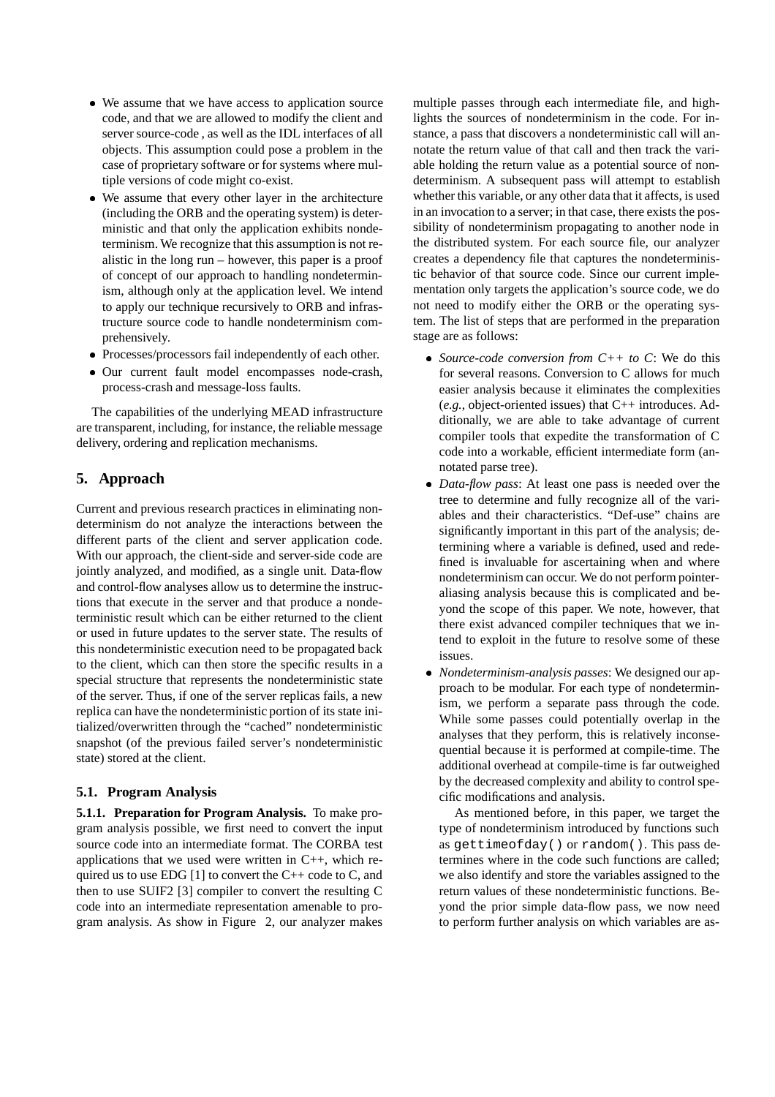- We assume that we have access to application source code, and that we are allowed to modify the client and server source-code , as well as the IDL interfaces of all objects. This assumption could pose a problem in the case of proprietary software or for systems where multiple versions of code might co-exist.
- We assume that every other layer in the architecture (including the ORB and the operating system) is deterministic and that only the application exhibits nondeterminism. We recognize that this assumption is not realistic in the long run – however, this paper is a proof of concept of our approach to handling nondeterminism, although only at the application level. We intend to apply our technique recursively to ORB and infrastructure source code to handle nondeterminism comprehensively.
- Processes/processors fail independently of each other.
- Our current fault model encompasses node-crash, process-crash and message-loss faults.

The capabilities of the underlying MEAD infrastructure are transparent, including, for instance, the reliable message delivery, ordering and replication mechanisms.

## **5. Approach**

Current and previous research practices in eliminating nondeterminism do not analyze the interactions between the different parts of the client and server application code. With our approach, the client-side and server-side code are jointly analyzed, and modified, as a single unit. Data-flow and control-flow analyses allow us to determine the instructions that execute in the server and that produce a nondeterministic result which can be either returned to the client or used in future updates to the server state. The results of this nondeterministic execution need to be propagated back to the client, which can then store the specific results in a special structure that represents the nondeterministic state of the server. Thus, if one of the server replicas fails, a new replica can have the nondeterministic portion of its state initialized/overwritten through the "cached" nondeterministic snapshot (of the previous failed server's nondeterministic state) stored at the client.

#### **5.1. Program Analysis**

**5.1.1. Preparation for Program Analysis.** To make program analysis possible, we first need to convert the input source code into an intermediate format. The CORBA test applications that we used were written in C++, which required us to use EDG [1] to convert the  $C++$  code to C, and then to use SUIF2 [3] compiler to convert the resulting C code into an intermediate representation amenable to program analysis. As show in Figure 2, our analyzer makes

multiple passes through each intermediate file, and highlights the sources of nondeterminism in the code. For instance, a pass that discovers a nondeterministic call will annotate the return value of that call and then track the variable holding the return value as a potential source of nondeterminism. A subsequent pass will attempt to establish whether this variable, or any other data that it affects, is used in an invocation to a server; in that case, there exists the possibility of nondeterminism propagating to another node in the distributed system. For each source file, our analyzer creates a dependency file that captures the nondeterministic behavior of that source code. Since our current implementation only targets the application's source code, we do not need to modify either the ORB or the operating system. The list of steps that are performed in the preparation stage are as follows:

- *Source-code conversion from C++ to C*: We do this for several reasons. Conversion to C allows for much easier analysis because it eliminates the complexities (*e.g.*, object-oriented issues) that C++ introduces. Additionally, we are able to take advantage of current compiler tools that expedite the transformation of C code into a workable, efficient intermediate form (annotated parse tree).
- *Data-flow pass*: At least one pass is needed over the tree to determine and fully recognize all of the variables and their characteristics. "Def-use" chains are significantly important in this part of the analysis; determining where a variable is defined, used and redefined is invaluable for ascertaining when and where nondeterminism can occur. We do not perform pointeraliasing analysis because this is complicated and beyond the scope of this paper. We note, however, that there exist advanced compiler techniques that we intend to exploit in the future to resolve some of these issues.
- *Nondeterminism-analysis passes*: We designed our approach to be modular. For each type of nondeterminism, we perform a separate pass through the code. While some passes could potentially overlap in the analyses that they perform, this is relatively inconsequential because it is performed at compile-time. The additional overhead at compile-time is far outweighed by the decreased complexity and ability to control specific modifications and analysis.

As mentioned before, in this paper, we target the type of nondeterminism introduced by functions such as gettimeofday() or random(). This pass determines where in the code such functions are called; we also identify and store the variables assigned to the return values of these nondeterministic functions. Beyond the prior simple data-flow pass, we now need to perform further analysis on which variables are as-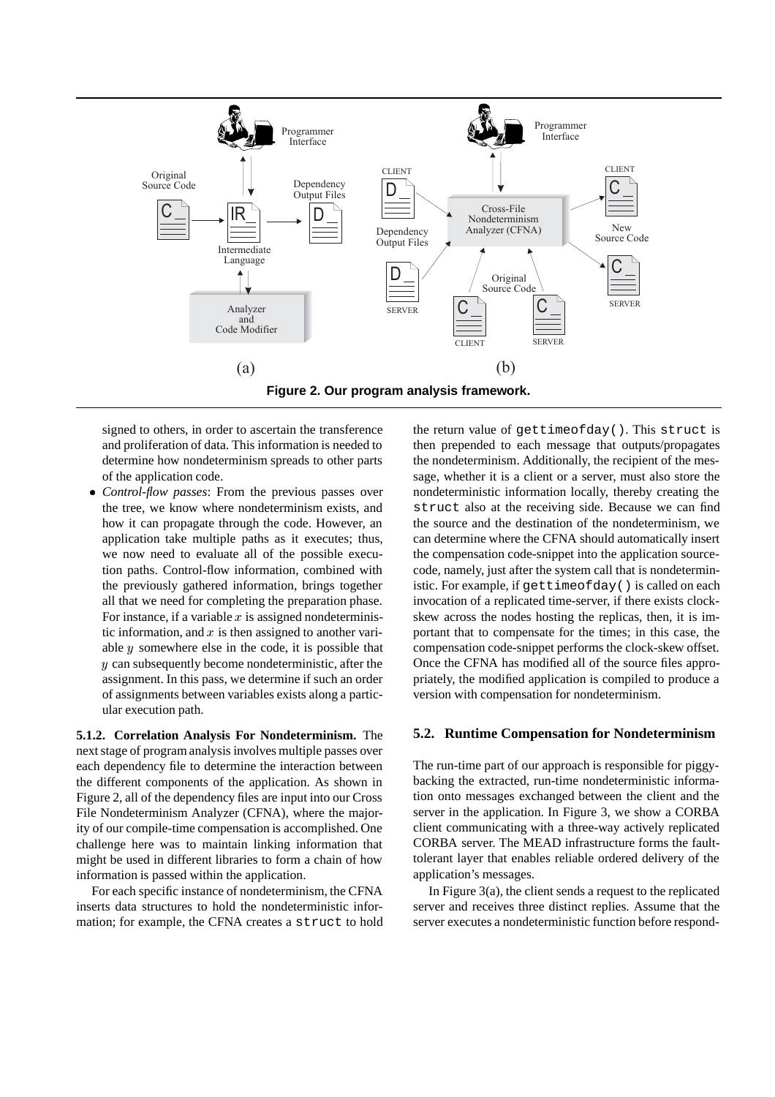

signed to others, in order to ascertain the transference and proliferation of data. This information is needed to determine how nondeterminism spreads to other parts of the application code.

- *Control-flow passes*: From the previous passes over the tree, we know where nondeterminism exists, and how it can propagate through the code. However, an application take multiple paths as it executes; thus, we now need to evaluate all of the possible execution paths. Control-flow information, combined with the previously gathered information, brings together all that we need for completing the preparation phase. For instance, if a variable  $x$  is assigned nondeterministic information, and  $x$  is then assigned to another variable  $y$  somewhere else in the code, it is possible that  $y$  can subsequently become nondeterministic, after the assignment. In this pass, we determine if such an order of assignments between variables exists along a particular execution path.

**5.1.2. Correlation Analysis For Nondeterminism.** The next stage of program analysis involves multiple passes over each dependency file to determine the interaction between the different components of the application. As shown in Figure 2, all of the dependency files are input into our Cross File Nondeterminism Analyzer (CFNA), where the majority of our compile-time compensation is accomplished. One challenge here was to maintain linking information that might be used in different libraries to form a chain of how information is passed within the application.

For each specific instance of nondeterminism, the CFNA inserts data structures to hold the nondeterministic information; for example, the CFNA creates a struct to hold the return value of gettimeofday(). This struct is then prepended to each message that outputs/propagates the nondeterminism. Additionally, the recipient of the message, whether it is a client or a server, must also store the nondeterministic information locally, thereby creating the struct also at the receiving side. Because we can find the source and the destination of the nondeterminism, we can determine where the CFNA should automatically insert the compensation code-snippet into the application sourcecode, namely, just after the system call that is nondeterministic. For example, if gettimeofday() is called on each invocation of a replicated time-server, if there exists clockskew across the nodes hosting the replicas, then, it is important that to compensate for the times; in this case, the compensation code-snippet performs the clock-skew offset. Once the CFNA has modified all of the source files appropriately, the modified application is compiled to produce a version with compensation for nondeterminism.

#### **5.2. Runtime Compensation for Nondeterminism**

The run-time part of our approach is responsible for piggybacking the extracted, run-time nondeterministic information onto messages exchanged between the client and the server in the application. In Figure 3, we show a CORBA client communicating with a three-way actively replicated CORBA server. The MEAD infrastructure forms the faulttolerant layer that enables reliable ordered delivery of the application's messages.

In Figure 3(a), the client sends a request to the replicated server and receives three distinct replies. Assume that the server executes a nondeterministic function before respond-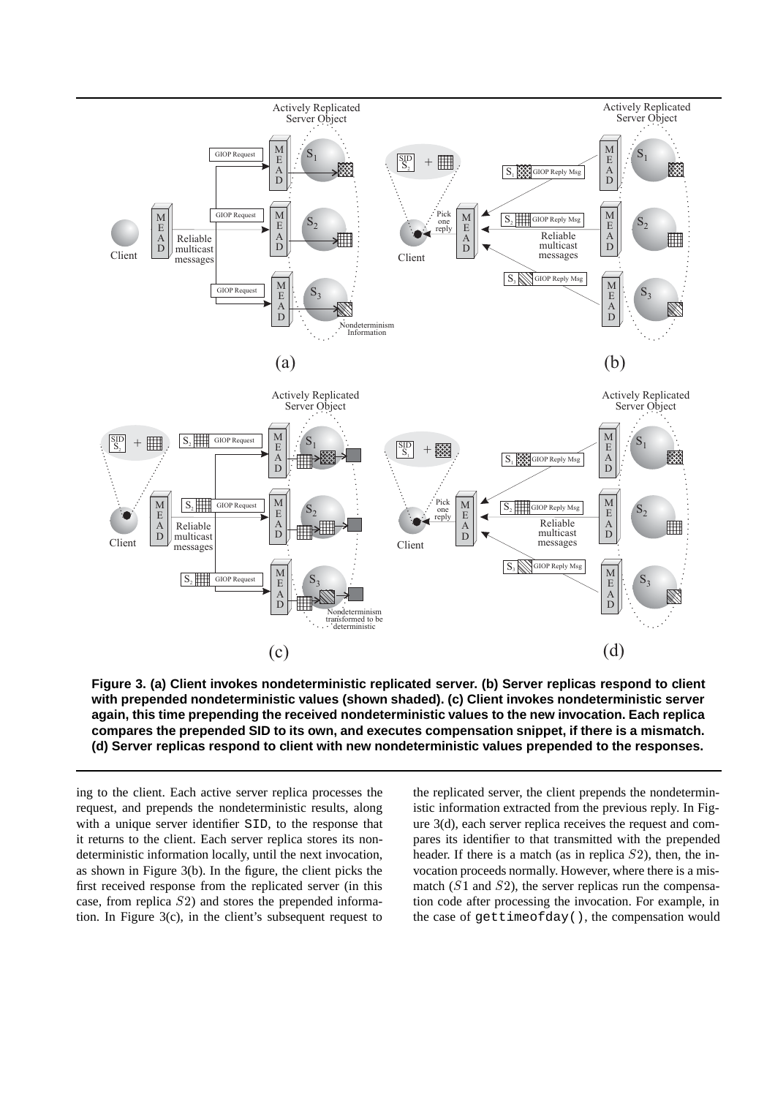

**Figure 3. (a) Client invokes nondeterministic replicated server. (b) Server replicas respond to client with prepended nondeterministic values (shown shaded). (c) Client invokes nondeterministic server again, this time prepending the received nondeterministic values to the new invocation. Each replica compares the prepended SID to its own, and executes compensation snippet, if there is a mismatch. (d) Server replicas respond to client with new nondeterministic values prepended to the responses.**

ing to the client. Each active server replica processes the request, and prepends the nondeterministic results, along with a unique server identifier SID, to the response that it returns to the client. Each server replica stores its nondeterministic information locally, until the next invocation, as shown in Figure 3(b). In the figure, the client picks the first received response from the replicated server (in this case, from replica  $S2$ ) and stores the prepended information. In Figure 3(c), in the client's subsequent request to

the replicated server, the client prepends the nondeterministic information extracted from the previous reply. In Figure 3(d), each server replica receives the request and compares its identifier to that transmitted with the prepended header. If there is a match (as in replica  $S_2$ ), then, the invocation proceeds normally. However, where there is a mismatch  $(S1$  and  $S2)$ , the server replicas run the compensation code after processing the invocation. For example, in the case of gettimeofday(), the compensation would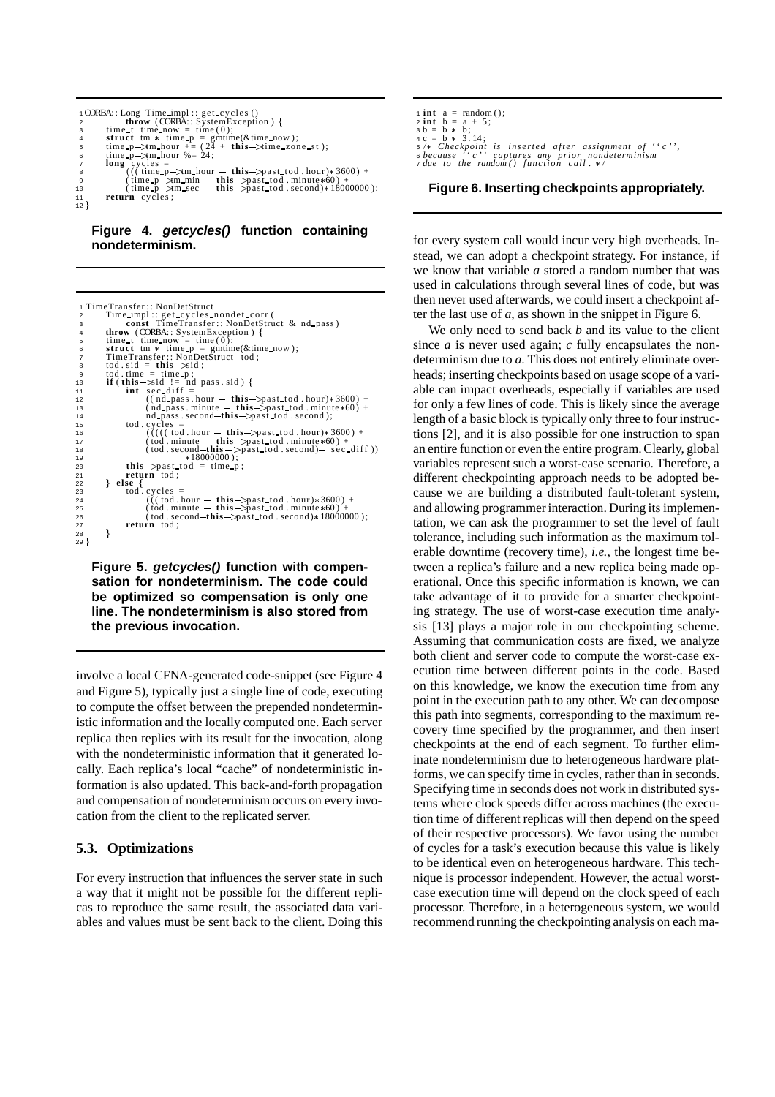```
1CORBA: : Long Time impl :: get cycles () 2 throw ( CORBA: : SystemException ) 
3 time_t time_now = time (0);<br>
s truct tm * time_p = gmtime(&time_now);<br>
s time_p-\text{Im}\text{-}\text{hom}-bour += (24 + this-\text{Im}\text{ime}\text{-}zone_st);<br>
time_p-\text{Im}\text{-}\text{hom}-bour %= 24;<br>
\text{long cycle} = (((time_p-\text{Im}\text{-}\text{hom}-bur - thi
                    return cycles;
\begin{array}{c} 11 \\ 12 \end{array}
```
### **Figure 4. getcycles() function containing nondeterminism.**

```
1 TimeTransfer:: NonDetStruct 2 Time_impl :: get_cycles_nondet_corr (<br>
3 const TimeTransfer: NonDetStruct & nd_pass)<br>
4 throw (CORBA: SystemException) {<br>
5 time_t time_now = time (0);<br>
6 struct tm * time_p = gmtime(&time_now);<br>
7 inneTransfer:: NonDetS
12 (( nd pass . hour - this - past tod . hour) * 3600) +<br>
( nd pass . minute - this - past tod . minute *60) +<br>
15 tod . cycles =
16 (((((tod.hour - this-\gammapast_tod.hour)*3600) +<br>
(tod.minute - this-\gammapast_tod.minute *60) +<br>
(tod.second-this - \gammapast_tod.second) - sec_diff ))<br>
*18000000 );
<sup>19</sup> *18000000;<br>
<sup>20</sup> this-\rightarrowpast_tod = time_p;<br>
<sup>21</sup> else {
21 return tod;<br>
22 } else {<br>
tod . cycles =
24 ((\text{tod } . \text{ hour } - \text{ this } - \text{past } . \text{ to d } . \text{ hour}) * 3600) + ( \text{tod } . \text{ minute } - \text{ this } - \text{past } . \text{ to d } . \text{ minute } * 60) +26 (tod . second-this - \gamma ast tod . second) * 18000000 );
26 (tod.se<br>
27 return tod;
rac{28}{28}29
```
**Figure 5. getcycles() function with compensation for nondeterminism. The code could be optimized so compensation is only one line. The nondeterminism is also stored from the previous invocation.**

involve a local CFNA-generated code-snippet (see Figure 4 and Figure 5), typically just a single line of code, executing to compute the offset between the prepended nondeterministic information and the locally computed one. Each server replica then replies with its result for the invocation, along with the nondeterministic information that it generated locally. Each replica's local "cache" of nondeterministic information is also updated. This back-and-forth propagation and compensation of nondeterminism occurs on every invocation from the client to the replicated server.

### **5.3. Optimizations**

For every instruction that influences the server state in such a way that it might not be possible for the different replicas to reproduce the same result, the associated data variables and values must be sent back to the client. Doing this

1 **int**  $a = \text{random}()$ ;<br>
2 **int**  $b = a + 5$ ;<br>
3 **b** = **b** \* **b**;<br>
4 **c** = **b** \* 3.14;

5/\* Checkpoint is inserted after assignment of "c", 6 *because '' c '' captures any prior nondeterminism* 7 *due to the random ( ) func tion call .* - */*

**Figure 6. Inserting checkpoints appropriately.**

for every system call would incur very high overheads. Instead, we can adopt a checkpoint strategy. For instance, if we know that variable *a* stored a random number that was used in calculations through several lines of code, but was then never used afterwards, we could insert a checkpoint after the last use of *a*, as shown in the snippet in Figure 6.

We only need to send back *b* and its value to the client since *a* is never used again; *c* fully encapsulates the nondeterminism due to *a*. This does not entirely eliminate overheads; inserting checkpoints based on usage scope of a variable can impact overheads, especially if variables are used for only a few lines of code. This is likely since the average length of a basic block is typically only three to four instructions [2], and it is also possible for one instruction to span an entire function or even the entire program. Clearly, global variables represent such a worst-case scenario. Therefore, a different checkpointing approach needs to be adopted because we are building a distributed fault-tolerant system, and allowing programmer interaction. During its implementation, we can ask the programmer to set the level of fault tolerance, including such information as the maximum tolerable downtime (recovery time), *i.e.*, the longest time between a replica's failure and a new replica being made operational. Once this specific information is known, we can take advantage of it to provide for a smarter checkpointing strategy. The use of worst-case execution time analysis [13] plays a major role in our checkpointing scheme. Assuming that communication costs are fixed, we analyze both client and server code to compute the worst-case execution time between different points in the code. Based on this knowledge, we know the execution time from any point in the execution path to any other. We can decompose this path into segments, corresponding to the maximum recovery time specified by the programmer, and then insert checkpoints at the end of each segment. To further eliminate nondeterminism due to heterogeneous hardware platforms, we can specify time in cycles, rather than in seconds. Specifying time in seconds does not work in distributed systems where clock speeds differ across machines (the execution time of different replicas will then depend on the speed of their respective processors). We favor using the number of cycles for a task's execution because this value is likely to be identical even on heterogeneous hardware. This technique is processor independent. However, the actual worstcase execution time will depend on the clock speed of each processor. Therefore, in a heterogeneous system, we would recommend running the checkpointing analysis on each ma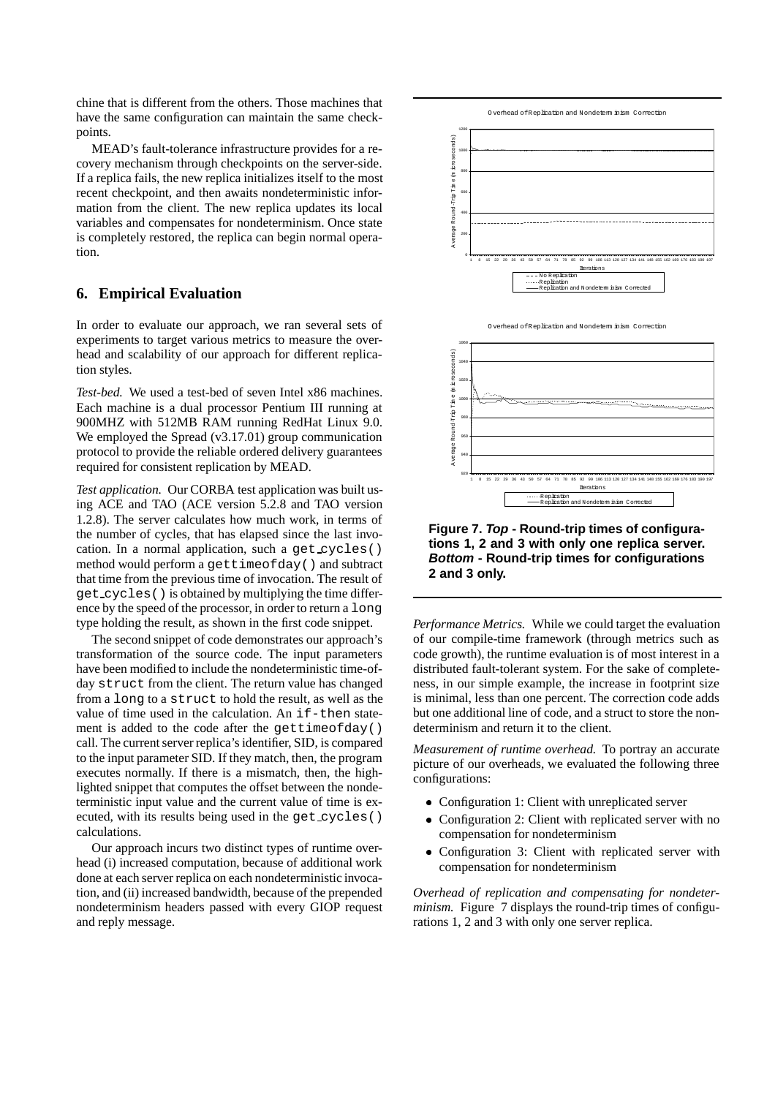chine that is different from the others. Those machines that have the same configuration can maintain the same checkpoints.

MEAD's fault-tolerance infrastructure provides for a recovery mechanism through checkpoints on the server-side. If a replica fails, the new replica initializes itself to the most recent checkpoint, and then awaits nondeterministic information from the client. The new replica updates its local variables and compensates for nondeterminism. Once state is completely restored, the replica can begin normal operation.

# **6. Empirical Evaluation**

In order to evaluate our approach, we ran several sets of experiments to target various metrics to measure the overhead and scalability of our approach for different replication styles.

*Test-bed.* We used a test-bed of seven Intel x86 machines. Each machine is a dual processor Pentium III running at 900MHZ with 512MB RAM running RedHat Linux 9.0. We employed the Spread (v3.17.01) group communication protocol to provide the reliable ordered delivery guarantees required for consistent replication by MEAD.

*Test application.* Our CORBA test application was built using ACE and TAO (ACE version 5.2.8 and TAO version 1.2.8). The server calculates how much work, in terms of the number of cycles, that has elapsed since the last invocation. In a normal application, such a get  $cycle()$ method would perform a gettimeofday() and subtract that time from the previous time of invocation. The result of get cycles() is obtained by multiplying the time difference by the speed of the processor, in order to return a long type holding the result, as shown in the first code snippet.

The second snippet of code demonstrates our approach's transformation of the source code. The input parameters have been modified to include the nondeterministic time-ofday struct from the client. The return value has changed from a long to a struct to hold the result, as well as the value of time used in the calculation. An if-then statement is added to the code after the gettimeofday() call. The current server replica's identifier, SID, is compared to the input parameter SID. If they match, then, the program executes normally. If there is a mismatch, then, the highlighted snippet that computes the offset between the nondeterministic input value and the current value of time is executed, with its results being used in the get cycles () calculations.

Our approach incurs two distinct types of runtime overhead (i) increased computation, because of additional work done at each server replica on each nondeterministic invocation, and (ii) increased bandwidth, because of the prepended nondeterminism headers passed with every GIOP request and reply message.



**Figure 7. Top - Round-trip times of configurations 1, 2 and 3 with only one replica server. Bottom - Round-trip times for configurations 2 and 3 only.**

*Performance Metrics.* While we could target the evaluation of our compile-time framework (through metrics such as code growth), the runtime evaluation is of most interest in a distributed fault-tolerant system. For the sake of completeness, in our simple example, the increase in footprint size is minimal, less than one percent. The correction code adds but one additional line of code, and a struct to store the nondeterminism and return it to the client.

*Measurement of runtime overhead.* To portray an accurate picture of our overheads, we evaluated the following three configurations:

- Configuration 1: Client with unreplicated server
- Configuration 2: Client with replicated server with no compensation for nondeterminism
- Configuration 3: Client with replicated server with compensation for nondeterminism

*Overhead of replication and compensating for nondeterminism.* Figure 7 displays the round-trip times of configurations 1, 2 and 3 with only one server replica.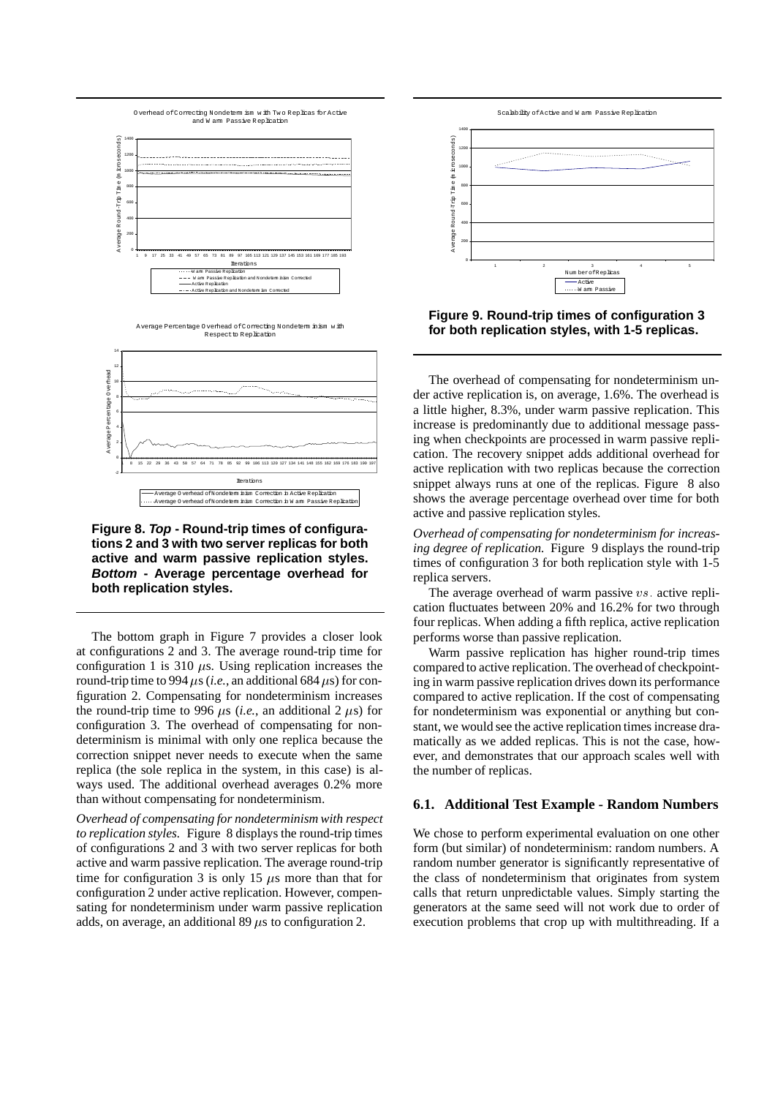

**Figure 8. Top - Round-trip times of configurations 2 and 3 with two server replicas for both active and warm passive replication styles. Bottom - Average percentage overhead for both replication styles.**

The bottom graph in Figure 7 provides a closer look at configurations 2 and 3. The average round-trip time for configuration 1 is 310  $\mu$ s. Using replication increases the round-trip time to 994  $\mu$ s (*i.e.*, an additional 684  $\mu$ s) for configuration 2. Compensating for nondeterminism increases the round-trip time to 996  $\mu$ s (*i.e.*, an additional 2  $\mu$ s) for configuration 3. The overhead of compensating for nondeterminism is minimal with only one replica because the correction snippet never needs to execute when the same replica (the sole replica in the system, in this case) is always used. The additional overhead averages 0.2% more than without compensating for nondeterminism.

*Overhead of compensating for nondeterminism with respect to replication styles.* Figure 8 displays the round-trip times of configurations 2 and 3 with two server replicas for both active and warm passive replication. The average round-trip time for configuration 3 is only 15  $\mu$ s more than that for configuration 2 under active replication. However, compensating for nondeterminism under warm passive replication adds, on average, an additional 89  $\mu$ s to configuration 2.



**Figure 9. Round-trip times of configuration 3 for both replication styles, with 1-5 replicas.**

The overhead of compensating for nondeterminism under active replication is, on average, 1.6%. The overhead is a little higher, 8.3%, under warm passive replication. This increase is predominantly due to additional message passing when checkpoints are processed in warm passive replication. The recovery snippet adds additional overhead for active replication with two replicas because the correction snippet always runs at one of the replicas. Figure 8 also shows the average percentage overhead over time for both active and passive replication styles.

*Overhead of compensating for nondeterminism for increasing degree of replication.* Figure 9 displays the round-trip times of configuration 3 for both replication style with 1-5 replica servers.

The average overhead of warm passive  $vs.$  active replication fluctuates between 20% and 16.2% for two through four replicas. When adding a fifth replica, active replication performs worse than passive replication.

Warm passive replication has higher round-trip times compared to active replication. The overhead of checkpointing in warm passive replication drives down its performance compared to active replication. If the cost of compensating for nondeterminism was exponential or anything but constant, we would see the active replication times increase dramatically as we added replicas. This is not the case, however, and demonstrates that our approach scales well with the number of replicas.

### **6.1. Additional Test Example - Random Numbers**

We chose to perform experimental evaluation on one other form (but similar) of nondeterminism: random numbers. A random number generator is significantly representative of the class of nondeterminism that originates from system calls that return unpredictable values. Simply starting the generators at the same seed will not work due to order of execution problems that crop up with multithreading. If a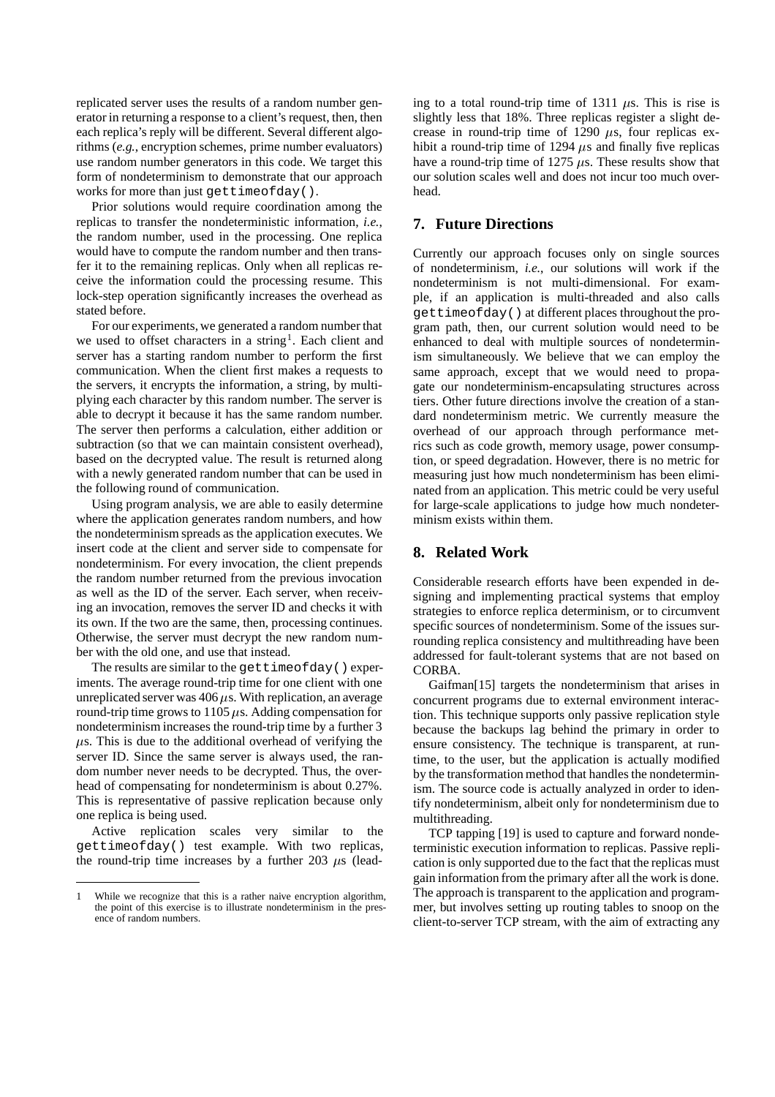replicated server uses the results of a random number generator in returning a response to a client's request, then, then each replica's reply will be different. Several different algorithms (*e.g.*, encryption schemes, prime number evaluators) use random number generators in this code. We target this form of nondeterminism to demonstrate that our approach works for more than just gettimeofday().

Prior solutions would require coordination among the replicas to transfer the nondeterministic information, *i.e.*, the random number, used in the processing. One replica would have to compute the random number and then transfer it to the remaining replicas. Only when all replicas receive the information could the processing resume. This lock-step operation significantly increases the overhead as stated before.

For our experiments, we generated a random number that we used to offset characters in a string<sup>1</sup>. Each client and server has a starting random number to perform the first communication. When the client first makes a requests to the servers, it encrypts the information, a string, by multiplying each character by this random number. The server is able to decrypt it because it has the same random number. The server then performs a calculation, either addition or subtraction (so that we can maintain consistent overhead), based on the decrypted value. The result is returned along with a newly generated random number that can be used in the following round of communication.

Using program analysis, we are able to easily determine where the application generates random numbers, and how the nondeterminism spreads as the application executes. We insert code at the client and server side to compensate for nondeterminism. For every invocation, the client prepends the random number returned from the previous invocation as well as the ID of the server. Each server, when receiving an invocation, removes the server ID and checks it with its own. If the two are the same, then, processing continues. Otherwise, the server must decrypt the new random number with the old one, and use that instead.

The results are similar to the gettimeofday() experiments. The average round-trip time for one client with one unreplicated server was  $406 \mu s$ . With replication, an average round-trip time grows to 1105  $\mu$ s. Adding compensation for nondeterminism increases the round-trip time by a further 3  $\mu$ s. This is due to the additional overhead of verifying the server ID. Since the same server is always used, the random number never needs to be decrypted. Thus, the overhead of compensating for nondeterminism is about 0.27%. This is representative of passive replication because only one replica is being used.

Active replication scales very similar to the gettimeofday() test example. With two replicas, the round-trip time increases by a further 203  $\mu$ s (leading to a total round-trip time of 1311  $\mu$ s. This is rise is slightly less that 18%. Three replicas register a slight decrease in round-trip time of 1290  $\mu$ s, four replicas exhibit a round-trip time of 1294  $\mu$ s and finally five replicas have a round-trip time of 1275  $\mu$ s. These results show that our solution scales well and does not incur too much overhead.

# **7. Future Directions**

Currently our approach focuses only on single sources of nondeterminism, *i.e.*, our solutions will work if the nondeterminism is not multi-dimensional. For example, if an application is multi-threaded and also calls gettimeofday() at different places throughout the program path, then, our current solution would need to be enhanced to deal with multiple sources of nondeterminism simultaneously. We believe that we can employ the same approach, except that we would need to propagate our nondeterminism-encapsulating structures across tiers. Other future directions involve the creation of a standard nondeterminism metric. We currently measure the overhead of our approach through performance metrics such as code growth, memory usage, power consumption, or speed degradation. However, there is no metric for measuring just how much nondeterminism has been eliminated from an application. This metric could be very useful for large-scale applications to judge how much nondeterminism exists within them.

# **8. Related Work**

Considerable research efforts have been expended in designing and implementing practical systems that employ strategies to enforce replica determinism, or to circumvent specific sources of nondeterminism. Some of the issues surrounding replica consistency and multithreading have been addressed for fault-tolerant systems that are not based on CORBA.

Gaifman[15] targets the nondeterminism that arises in concurrent programs due to external environment interaction. This technique supports only passive replication style because the backups lag behind the primary in order to ensure consistency. The technique is transparent, at runtime, to the user, but the application is actually modified by the transformation method that handles the nondeterminism. The source code is actually analyzed in order to identify nondeterminism, albeit only for nondeterminism due to multithreading.

TCP tapping [19] is used to capture and forward nondeterministic execution information to replicas. Passive replication is only supported due to the fact that the replicas must gain information from the primary after all the work is done. The approach is transparent to the application and programmer, but involves setting up routing tables to snoop on the client-to-server TCP stream, with the aim of extracting any

<sup>1</sup> While we recognize that this is a rather naive encryption algorithm, the point of this exercise is to illustrate nondeterminism in the presence of random numbers.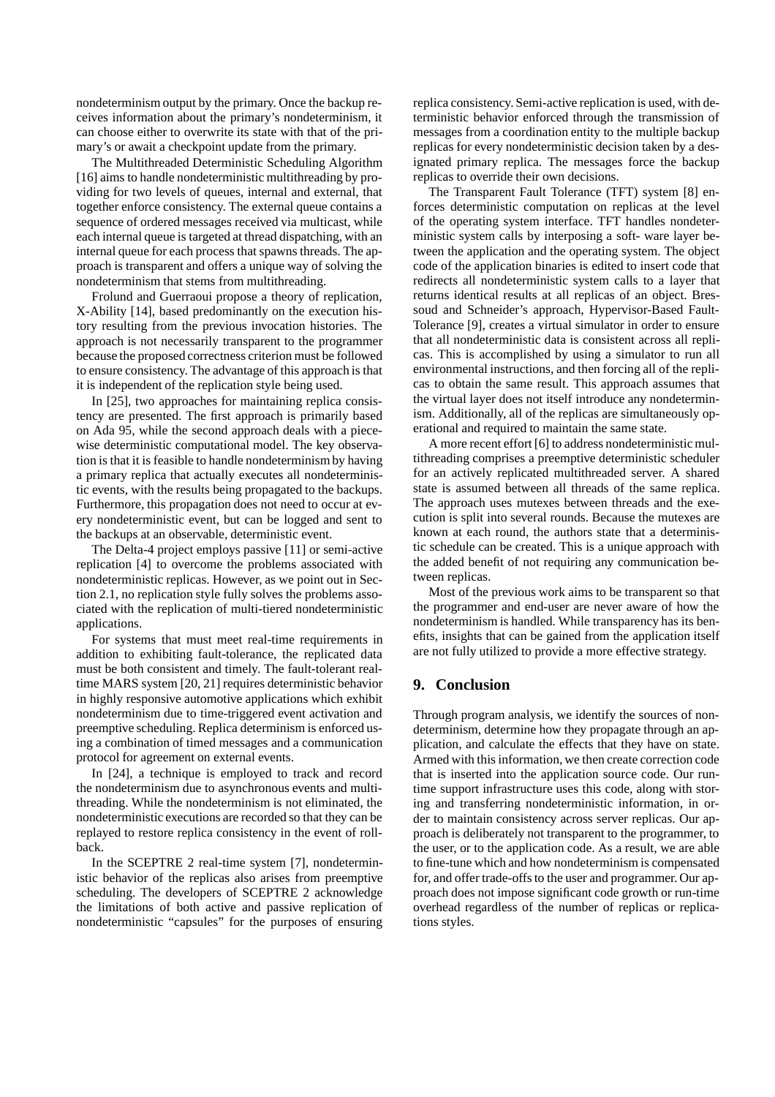nondeterminism output by the primary. Once the backup receives information about the primary's nondeterminism, it can choose either to overwrite its state with that of the primary's or await a checkpoint update from the primary.

The Multithreaded Deterministic Scheduling Algorithm [16] aims to handle nondeterministic multithreading by providing for two levels of queues, internal and external, that together enforce consistency. The external queue contains a sequence of ordered messages received via multicast, while each internal queue is targeted at thread dispatching, with an internal queue for each process that spawns threads. The approach is transparent and offers a unique way of solving the nondeterminism that stems from multithreading.

Frolund and Guerraoui propose a theory of replication, X-Ability [14], based predominantly on the execution history resulting from the previous invocation histories. The approach is not necessarily transparent to the programmer because the proposed correctness criterion must be followed to ensure consistency. The advantage of this approach is that it is independent of the replication style being used.

In [25], two approaches for maintaining replica consistency are presented. The first approach is primarily based on Ada 95, while the second approach deals with a piecewise deterministic computational model. The key observation is that it is feasible to handle nondeterminism by having a primary replica that actually executes all nondeterministic events, with the results being propagated to the backups. Furthermore, this propagation does not need to occur at every nondeterministic event, but can be logged and sent to the backups at an observable, deterministic event.

The Delta-4 project employs passive [11] or semi-active replication [4] to overcome the problems associated with nondeterministic replicas. However, as we point out in Section 2.1, no replication style fully solves the problems associated with the replication of multi-tiered nondeterministic applications.

For systems that must meet real-time requirements in addition to exhibiting fault-tolerance, the replicated data must be both consistent and timely. The fault-tolerant realtime MARS system [20, 21] requires deterministic behavior in highly responsive automotive applications which exhibit nondeterminism due to time-triggered event activation and preemptive scheduling. Replica determinism is enforced using a combination of timed messages and a communication protocol for agreement on external events.

In [24], a technique is employed to track and record the nondeterminism due to asynchronous events and multithreading. While the nondeterminism is not eliminated, the nondeterministic executions are recorded so that they can be replayed to restore replica consistency in the event of rollback.

In the SCEPTRE 2 real-time system [7], nondeterministic behavior of the replicas also arises from preemptive scheduling. The developers of SCEPTRE 2 acknowledge the limitations of both active and passive replication of nondeterministic "capsules" for the purposes of ensuring

replica consistency. Semi-active replication is used, with deterministic behavior enforced through the transmission of messages from a coordination entity to the multiple backup replicas for every nondeterministic decision taken by a designated primary replica. The messages force the backup replicas to override their own decisions.

The Transparent Fault Tolerance (TFT) system [8] enforces deterministic computation on replicas at the level of the operating system interface. TFT handles nondeterministic system calls by interposing a soft- ware layer between the application and the operating system. The object code of the application binaries is edited to insert code that redirects all nondeterministic system calls to a layer that returns identical results at all replicas of an object. Bressoud and Schneider's approach, Hypervisor-Based Fault-Tolerance [9], creates a virtual simulator in order to ensure that all nondeterministic data is consistent across all replicas. This is accomplished by using a simulator to run all environmental instructions, and then forcing all of the replicas to obtain the same result. This approach assumes that the virtual layer does not itself introduce any nondeterminism. Additionally, all of the replicas are simultaneously operational and required to maintain the same state.

A more recent effort [6] to address nondeterministic multithreading comprises a preemptive deterministic scheduler for an actively replicated multithreaded server. A shared state is assumed between all threads of the same replica. The approach uses mutexes between threads and the execution is split into several rounds. Because the mutexes are known at each round, the authors state that a deterministic schedule can be created. This is a unique approach with the added benefit of not requiring any communication between replicas.

Most of the previous work aims to be transparent so that the programmer and end-user are never aware of how the nondeterminism is handled. While transparency has its benefits, insights that can be gained from the application itself are not fully utilized to provide a more effective strategy.

# **9. Conclusion**

Through program analysis, we identify the sources of nondeterminism, determine how they propagate through an application, and calculate the effects that they have on state. Armed with this information, we then create correction code that is inserted into the application source code. Our runtime support infrastructure uses this code, along with storing and transferring nondeterministic information, in order to maintain consistency across server replicas. Our approach is deliberately not transparent to the programmer, to the user, or to the application code. As a result, we are able to fine-tune which and how nondeterminism is compensated for, and offer trade-offs to the user and programmer. Our approach does not impose significant code growth or run-time overhead regardless of the number of replicas or replications styles.